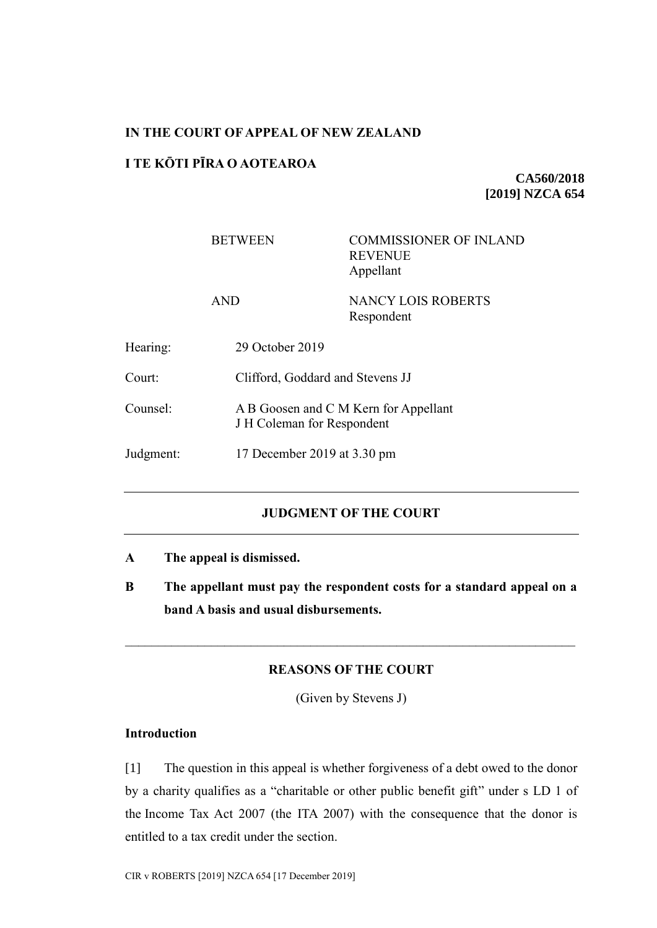## **IN THE COURT OF APPEAL OF NEW ZEALAND**

# **I TE KŌTI PĪRA O AOTEAROA**

**CA560/2018 [2019] NZCA 654**

|           | <b>BETWEEN</b>  | <b>COMMISSIONER OF INLAND</b><br><b>REVENUE</b><br>Appellant        |  |
|-----------|-----------------|---------------------------------------------------------------------|--|
|           | <b>AND</b>      | NANCY LOIS ROBERTS<br>Respondent                                    |  |
| Hearing:  | 29 October 2019 |                                                                     |  |
| Court:    |                 | Clifford, Goddard and Stevens JJ                                    |  |
| Counsel:  |                 | A B Goosen and C M Kern for Appellant<br>J H Coleman for Respondent |  |
| Judgment: |                 | 17 December 2019 at 3.30 pm                                         |  |

# **JUDGMENT OF THE COURT**

- **A The appeal is dismissed.**
- **B The appellant must pay the respondent costs for a standard appeal on a band A basis and usual disbursements.**

## **REASONS OF THE COURT**

(Given by Stevens J)

# **Introduction**

[1] The question in this appeal is whether forgiveness of a debt owed to the donor by a charity qualifies as a "charitable or other public benefit gift" under s LD 1 of the Income Tax Act 2007 (the ITA 2007) with the consequence that the donor is entitled to a tax credit under the section.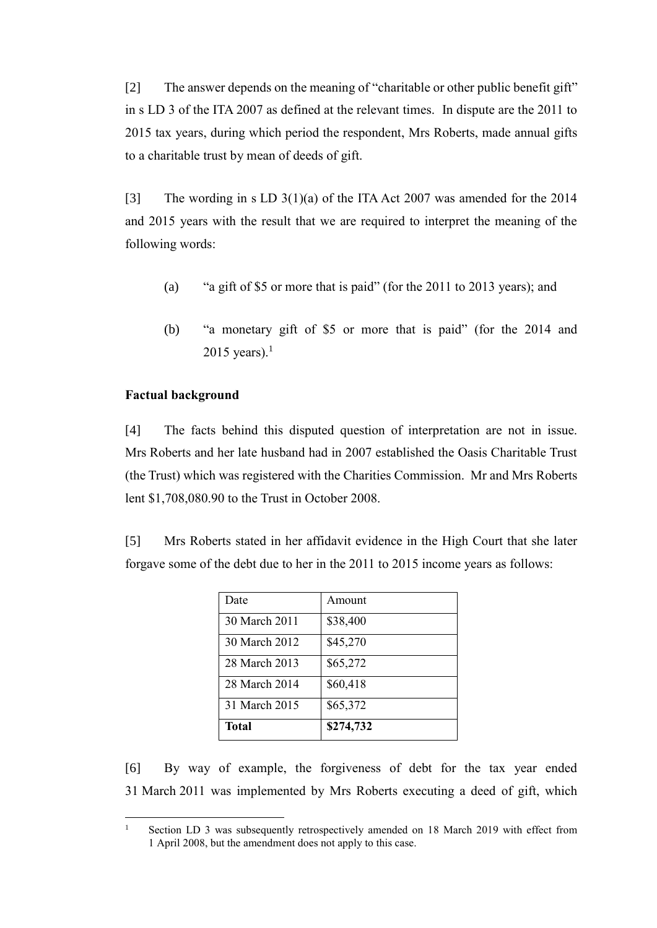[2] The answer depends on the meaning of "charitable or other public benefit gift" in s LD 3 of the ITA 2007 as defined at the relevant times. In dispute are the 2011 to 2015 tax years, during which period the respondent, Mrs Roberts, made annual gifts to a charitable trust by mean of deeds of gift.

[3] The wording in s LD 3(1)(a) of the ITA Act 2007 was amended for the 2014 and 2015 years with the result that we are required to interpret the meaning of the following words:

- (a) "a gift of \$5 or more that is paid" (for the 2011 to 2013 years); and
- (b) "a monetary gift of \$5 or more that is paid" (for the 2014 and 2015 years). $<sup>1</sup>$ </sup>

### **Factual background**

[4] The facts behind this disputed question of interpretation are not in issue. Mrs Roberts and her late husband had in 2007 established the Oasis Charitable Trust (the Trust) which was registered with the Charities Commission. Mr and Mrs Roberts lent \$1,708,080.90 to the Trust in October 2008.

[5] Mrs Roberts stated in her affidavit evidence in the High Court that she later forgave some of the debt due to her in the 2011 to 2015 income years as follows:

| <b>Total</b>  | \$274,732 |
|---------------|-----------|
| 31 March 2015 | \$65,372  |
| 28 March 2014 | \$60,418  |
| 28 March 2013 | \$65,272  |
| 30 March 2012 | \$45,270  |
| 30 March 2011 | \$38,400  |
| Date          | Amount    |

[6] By way of example, the forgiveness of debt for the tax year ended 31 March 2011 was implemented by Mrs Roberts executing a deed of gift, which

 $\mathbf{1}$ Section LD 3 was subsequently retrospectively amended on 18 March 2019 with effect from 1 April 2008, but the amendment does not apply to this case.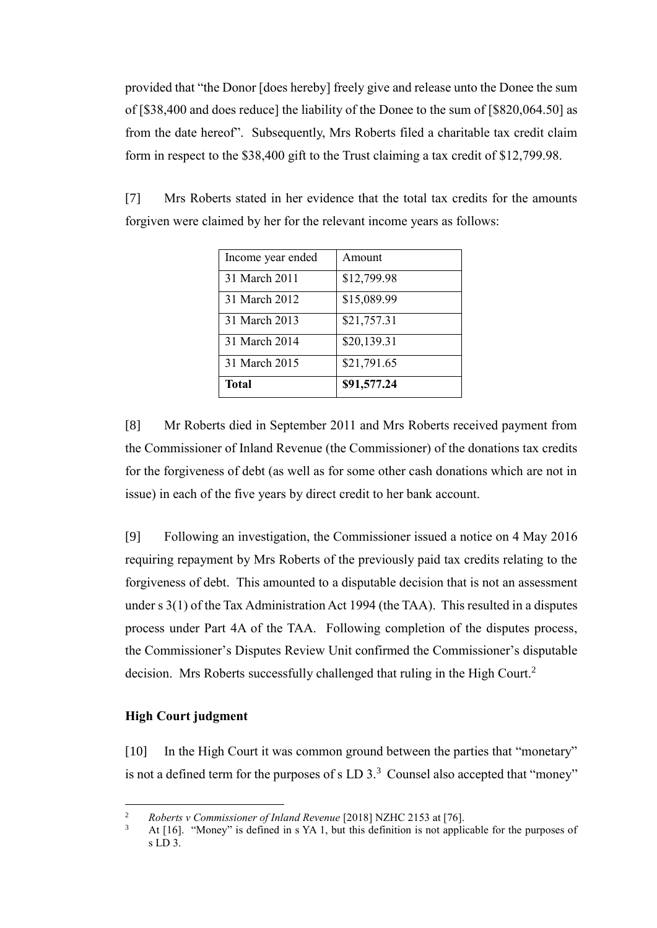provided that "the Donor [does hereby] freely give and release unto the Donee the sum of [\$38,400 and does reduce] the liability of the Donee to the sum of [\$820,064.50] as from the date hereof". Subsequently, Mrs Roberts filed a charitable tax credit claim form in respect to the \$38,400 gift to the Trust claiming a tax credit of \$12,799.98.

| Income year ended | Amount      |
|-------------------|-------------|
| 31 March 2011     | \$12,799.98 |
| 31 March 2012     | \$15,089.99 |
| 31 March 2013     | \$21,757.31 |
| 31 March 2014     | \$20,139.31 |
| 31 March 2015     | \$21,791.65 |
| <b>Total</b>      | \$91,577.24 |

[7] Mrs Roberts stated in her evidence that the total tax credits for the amounts forgiven were claimed by her for the relevant income years as follows:

[8] Mr Roberts died in September 2011 and Mrs Roberts received payment from the Commissioner of Inland Revenue (the Commissioner) of the donations tax credits for the forgiveness of debt (as well as for some other cash donations which are not in issue) in each of the five years by direct credit to her bank account.

[9] Following an investigation, the Commissioner issued a notice on 4 May 2016 requiring repayment by Mrs Roberts of the previously paid tax credits relating to the forgiveness of debt. This amounted to a disputable decision that is not an assessment under s 3(1) of the Tax Administration Act 1994 (the TAA). This resulted in a disputes process under Part 4A of the TAA. Following completion of the disputes process, the Commissioner's Disputes Review Unit confirmed the Commissioner's disputable decision. Mrs Roberts successfully challenged that ruling in the High Court.<sup>2</sup>

## **High Court judgment**

 $\overline{a}$ 

[10] In the High Court it was common ground between the parties that "monetary" is not a defined term for the purposes of s LD  $3<sup>3</sup>$  Counsel also accepted that "money"

<sup>2</sup> *Roberts v Commissioner of Inland Revenue* [2018] NZHC 2153 at [76].

<sup>3</sup> At [16]. "Money" is defined in s YA 1, but this definition is not applicable for the purposes of s LD 3.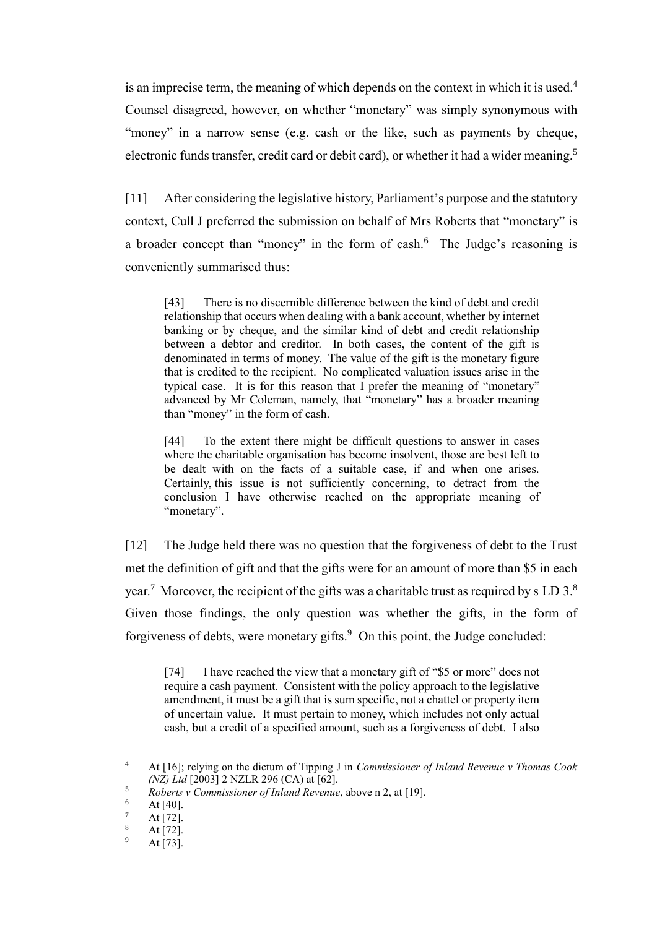is an imprecise term, the meaning of which depends on the context in which it is used.<sup>4</sup> Counsel disagreed, however, on whether "monetary" was simply synonymous with "money" in a narrow sense (e.g. cash or the like, such as payments by cheque, electronic funds transfer, credit card or debit card), or whether it had a wider meaning.<sup>5</sup>

[11] After considering the legislative history, Parliament's purpose and the statutory context, Cull J preferred the submission on behalf of Mrs Roberts that "monetary" is a broader concept than "money" in the form of cash.<sup>6</sup> The Judge's reasoning is conveniently summarised thus:

[43] There is no discernible difference between the kind of debt and credit relationship that occurs when dealing with a bank account, whether by internet banking or by cheque, and the similar kind of debt and credit relationship between a debtor and creditor. In both cases, the content of the gift is denominated in terms of money. The value of the gift is the monetary figure that is credited to the recipient. No complicated valuation issues arise in the typical case. It is for this reason that  $\overline{I}$  prefer the meaning of "monetary" advanced by Mr Coleman, namely, that "monetary" has a broader meaning than "money" in the form of cash.

[44] To the extent there might be difficult questions to answer in cases where the charitable organisation has become insolvent, those are best left to be dealt with on the facts of a suitable case, if and when one arises. Certainly, this issue is not sufficiently concerning, to detract from the conclusion I have otherwise reached on the appropriate meaning of "monetary".

[12] The Judge held there was no question that the forgiveness of debt to the Trust met the definition of gift and that the gifts were for an amount of more than \$5 in each year.<sup>7</sup> Moreover, the recipient of the gifts was a charitable trust as required by s LD 3.<sup>8</sup> Given those findings, the only question was whether the gifts, in the form of forgiveness of debts, were monetary gifts.<sup>9</sup> On this point, the Judge concluded:

[74] I have reached the view that a monetary gift of "\$5 or more" does not require a cash payment. Consistent with the policy approach to the legislative amendment, it must be a gift that is sum specific, not a chattel or property item of uncertain value. It must pertain to money, which includes not only actual cash, but a credit of a specified amount, such as a forgiveness of debt. I also

<sup>4</sup> At [16]; relying on the dictum of Tipping J in *Commissioner of Inland Revenue v Thomas Cook (NZ) Ltd* [2003] 2 NZLR 296 (CA) at [62].

<sup>5</sup> *Roberts v Commissioner of Inland Revenue*, above n 2, at [19].

 $\frac{6}{7}$  At [40].

 $\frac{7}{8}$  At [72].

 $\frac{8}{9}$  At [72].

At [73].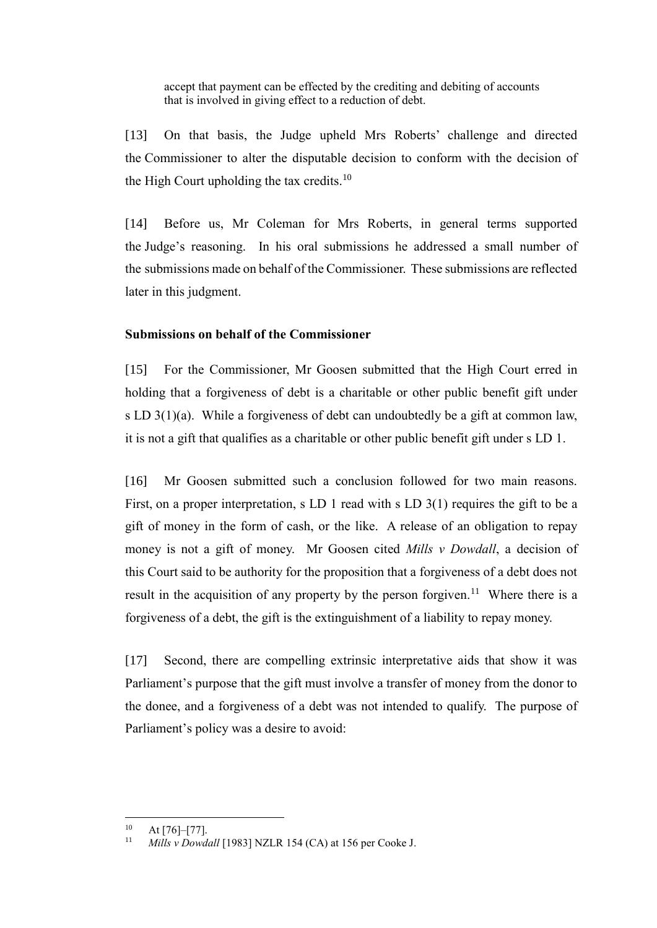accept that payment can be effected by the crediting and debiting of accounts that is involved in giving effect to a reduction of debt.

[13] On that basis, the Judge upheld Mrs Roberts' challenge and directed the Commissioner to alter the disputable decision to conform with the decision of the High Court upholding the tax credits.<sup>10</sup>

[14] Before us, Mr Coleman for Mrs Roberts, in general terms supported the Judge's reasoning. In his oral submissions he addressed a small number of the submissions made on behalf of the Commissioner. These submissions are reflected later in this judgment.

## **Submissions on behalf of the Commissioner**

[15] For the Commissioner, Mr Goosen submitted that the High Court erred in holding that a forgiveness of debt is a charitable or other public benefit gift under s LD 3(1)(a). While a forgiveness of debt can undoubtedly be a gift at common law, it is not a gift that qualifies as a charitable or other public benefit gift under s LD 1.

[16] Mr Goosen submitted such a conclusion followed for two main reasons. First, on a proper interpretation, s LD 1 read with s LD 3(1) requires the gift to be a gift of money in the form of cash, or the like. A release of an obligation to repay money is not a gift of money. Mr Goosen cited *Mills v Dowdall*, a decision of this Court said to be authority for the proposition that a forgiveness of a debt does not result in the acquisition of any property by the person forgiven.<sup>11</sup> Where there is a forgiveness of a debt, the gift is the extinguishment of a liability to repay money.

[17] Second, there are compelling extrinsic interpretative aids that show it was Parliament's purpose that the gift must involve a transfer of money from the donor to the donee, and a forgiveness of a debt was not intended to qualify. The purpose of Parliament's policy was a desire to avoid:

 $10$ At [76]–[77].

Mills v Dowdall [1983] NZLR 154 (CA) at 156 per Cooke J.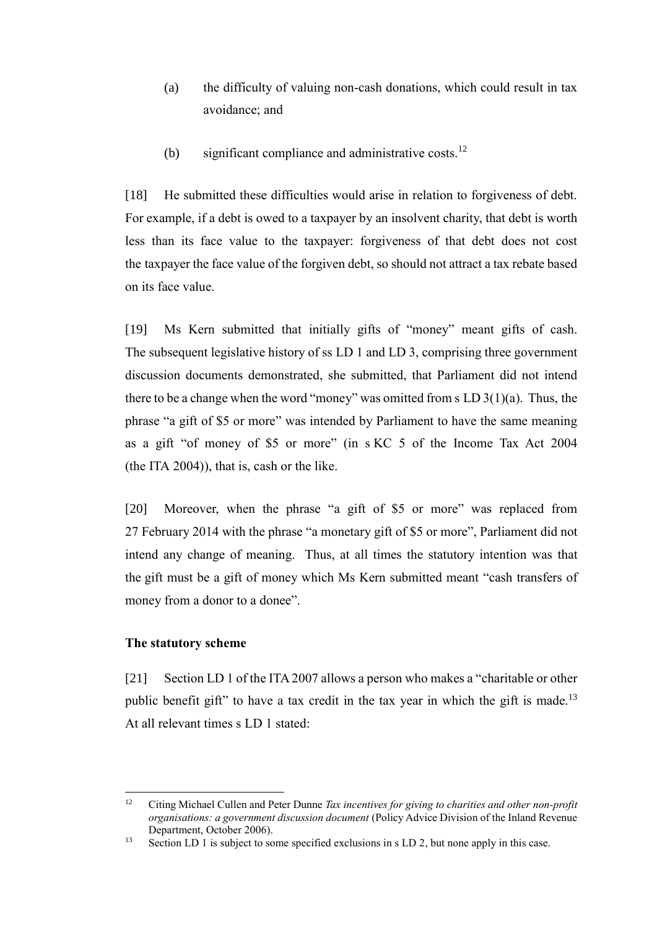- (a) the difficulty of valuing non-cash donations, which could result in tax avoidance; and
- (b) significant compliance and administrative costs.<sup>12</sup>

<span id="page-5-0"></span>[18] He submitted these difficulties would arise in relation to forgiveness of debt. For example, if a debt is owed to a taxpayer by an insolvent charity, that debt is worth less than its face value to the taxpayer: forgiveness of that debt does not cost the taxpayer the face value of the forgiven debt, so should not attract a tax rebate based on its face value.

[19] Ms Kern submitted that initially gifts of "money" meant gifts of cash. The subsequent legislative history of ss LD 1 and LD 3, comprising three government discussion documents demonstrated, she submitted, that Parliament did not intend there to be a change when the word "money" was omitted from s  $LD 3(1)(a)$ . Thus, the phrase "a gift of \$5 or more" was intended by Parliament to have the same meaning as a gift "of money of \$5 or more" (in s KC 5 of the Income Tax Act 2004 (the ITA 2004)), that is, cash or the like.

[20] Moreover, when the phrase "a gift of \$5 or more" was replaced from 27 February 2014 with the phrase "a monetary gift of \$5 or more", Parliament did not intend any change of meaning. Thus, at all times the statutory intention was that the gift must be a gift of money which Ms Kern submitted meant "cash transfers of money from a donor to a donee".

## **The statutory scheme**

 $\overline{a}$ 

[21] Section LD 1 of the ITA 2007 allows a person who makes a "charitable or other public benefit gift" to have a tax credit in the tax year in which the gift is made.<sup>13</sup> At all relevant times s LD 1 stated:

<sup>12</sup> Citing Michael Cullen and Peter Dunne *Tax incentives for giving to charities and other non-profit organisations: a government discussion document* (Policy Advice Division of the Inland Revenue Department, October 2006).

<sup>&</sup>lt;sup>13</sup> Section LD 1 is subject to some specified exclusions in s LD 2, but none apply in this case.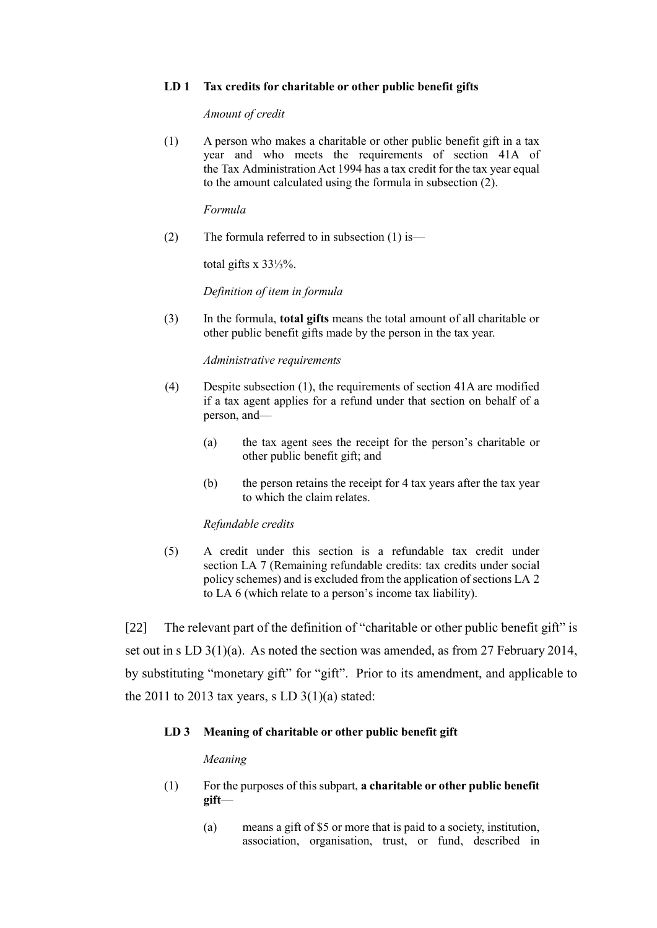### **LD 1 Tax credits for charitable or other public benefit gifts**

*Amount of credit*

(1) A person who makes a charitable or other public benefit gift in a tax year and who meets the requirements of section 41A of the Tax Administration Act 1994 has a tax credit for the tax year equal to the amount calculated using the formula in subsection (2).

*Formula*

(2) The formula referred to in subsection  $(1)$  is—

total gifts x 33⅓%.

*Definition of item in formula*

(3) In the formula, **total gifts** means the total amount of all charitable or other public benefit gifts made by the person in the tax year.

*Administrative requirements*

- (4) Despite subsection (1), the requirements of section 41A are modified if a tax agent applies for a refund under that section on behalf of a person, and—
	- (a) the tax agent sees the receipt for the person's charitable or other public benefit gift; and
	- (b) the person retains the receipt for 4 tax years after the tax year to which the claim relates.

### *Refundable credits*

(5) A credit under this section is a refundable tax credit under section LA 7 (Remaining refundable credits: tax credits under social policy schemes) and is excluded from the application of sections LA 2 to LA 6 (which relate to a person's income tax liability).

[22] The relevant part of the definition of "charitable or other public benefit gift" is set out in s LD 3(1)(a). As noted the section was amended, as from 27 February 2014, by substituting "monetary gift" for "gift". Prior to its amendment, and applicable to the 2011 to 2013 tax years, s LD  $3(1)(a)$  stated:

### **LD 3 Meaning of charitable or other public benefit gift**

#### *Meaning*

- (1) For the purposes of this subpart, **a charitable or other public benefit gift**—
	- (a) means a gift of \$5 or more that is paid to a society, institution, association, organisation, trust, or fund, described in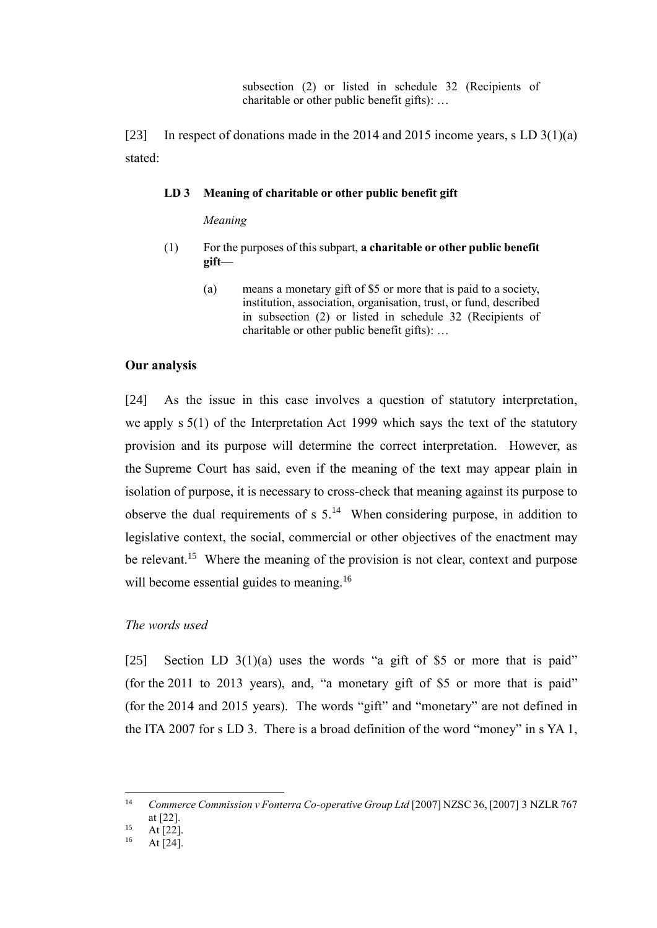subsection (2) or listed in schedule 32 (Recipients of charitable or other public benefit gifts): …

[23] In respect of donations made in the 2014 and 2015 income years, s LD  $3(1)(a)$ stated:

### **LD 3 Meaning of charitable or other public benefit gift**

*Meaning*

- (1) For the purposes of this subpart, **a charitable or other public benefit gift**—
	- (a) means a monetary gift of \$5 or more that is paid to a society, institution, association, organisation, trust, or fund, described in subsection (2) or listed in schedule 32 (Recipients of charitable or other public benefit gifts): …

#### **Our analysis**

[24] As the issue in this case involves a question of statutory interpretation, we apply s 5(1) of the Interpretation Act 1999 which says the text of the statutory provision and its purpose will determine the correct interpretation. However, as the Supreme Court has said, even if the meaning of the text may appear plain in isolation of purpose, it is necessary to cross-check that meaning against its purpose to observe the dual requirements of  $s$  5.<sup>14</sup> When considering purpose, in addition to legislative context, the social, commercial or other objectives of the enactment may be relevant.<sup>15</sup> Where the meaning of the provision is not clear, context and purpose will become essential guides to meaning.<sup>16</sup>

## *The words used*

[25] Section LD  $3(1)(a)$  uses the words "a gift of \$5 or more that is paid" (for the 2011 to 2013 years), and, "a monetary gift of \$5 or more that is paid" (for the 2014 and 2015 years). The words "gift" and "monetary" are not defined in the ITA 2007 for s LD 3. There is a broad definition of the word "money" in s YA 1,

<sup>&</sup>lt;sup>14</sup> *Commerce Commission v Fonterra Co-operative Group Ltd* [2007] NZSC 36, [2007] 3 NZLR 767 at [22].

<sup>&</sup>lt;sup>15</sup> At [22].

At  $[24]$ .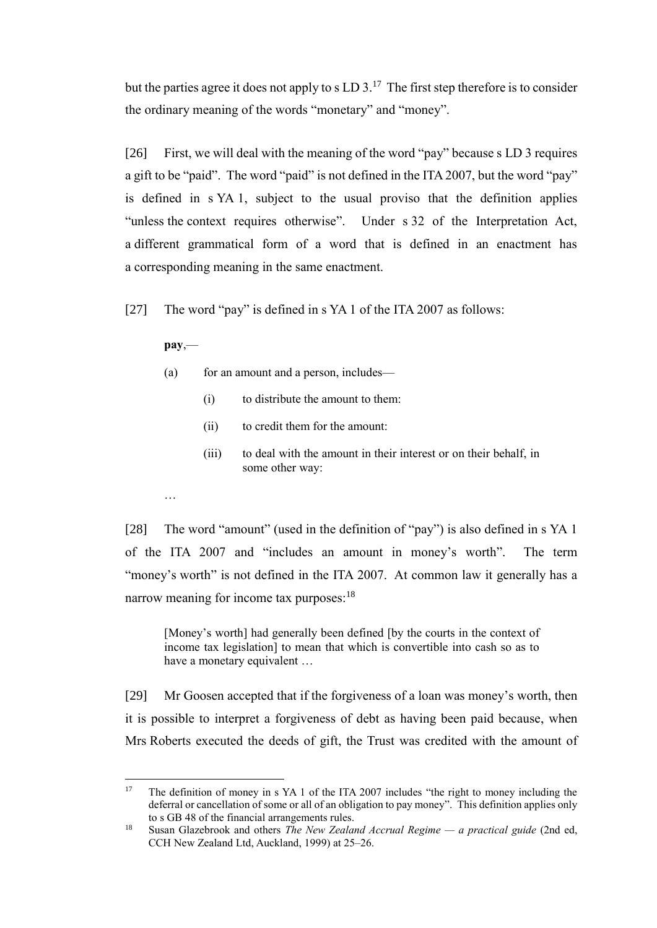but the parties agree it does not apply to s  $LD 3$ .<sup>17</sup> The first step therefore is to consider the ordinary meaning of the words "monetary" and "money".

[26] First, we will deal with the meaning of the word "pay" because s LD 3 requires a gift to be "paid". The word "paid" is not defined in the ITA 2007, but the word "pay" is defined in s YA 1, subject to the usual proviso that the definition applies "unless the context requires otherwise". Under s 32 of the Interpretation Act, a different grammatical form of a word that is defined in an enactment has a corresponding meaning in the same enactment.

[27] The word "pay" is defined in s YA 1 of the ITA 2007 as follows:

**pay**,—

- (a) for an amount and a person, includes—
	- (i) to distribute the amount to them:
	- (ii) to credit them for the amount:
	- (iii) to deal with the amount in their interest or on their behalf, in some other way:
- …

[28] The word "amount" (used in the definition of "pay") is also defined in s YA 1 of the ITA 2007 and "includes an amount in money's worth". The term "money's worth" is not defined in the ITA 2007. At common law it generally has a narrow meaning for income tax purposes:<sup>18</sup>

[Money's worth] had generally been defined [by the courts in the context of income tax legislation] to mean that which is convertible into cash so as to have a monetary equivalent …

[29] Mr Goosen accepted that if the forgiveness of a loan was money's worth, then it is possible to interpret a forgiveness of debt as having been paid because, when Mrs Roberts executed the deeds of gift, the Trust was credited with the amount of

 $17$ <sup>17</sup> The definition of money in s YA 1 of the ITA 2007 includes "the right to money including the deferral or cancellation of some or all of an obligation to pay money". This definition applies only to s GB 48 of the financial arrangements rules.

<sup>18</sup> Susan Glazebrook and others *The New Zealand Accrual Regime — a practical guide* (2nd ed, CCH New Zealand Ltd, Auckland, 1999) at 25–26.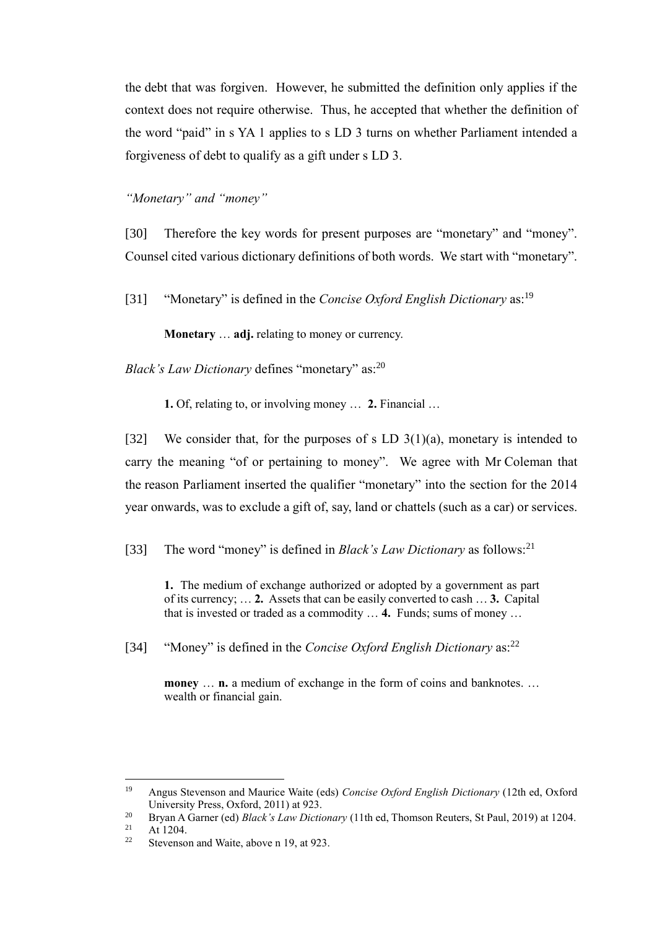the debt that was forgiven. However, he submitted the definition only applies if the context does not require otherwise. Thus, he accepted that whether the definition of the word "paid" in s YA 1 applies to s LD 3 turns on whether Parliament intended a forgiveness of debt to qualify as a gift under s LD 3.

*"Monetary" and "money"*

[30] Therefore the key words for present purposes are "monetary" and "money". Counsel cited various dictionary definitions of both words. We start with "monetary".

[31] "Monetary" is defined in the *Concise Oxford English Dictionary* as:<sup>19</sup>

**Monetary** … **adj.** relating to money or currency.

*Black's Law Dictionary* defines "monetary" as:<sup>20</sup>

**1.** Of, relating to, or involving money … **2.** Financial …

[32] We consider that, for the purposes of s LD  $3(1)(a)$ , monetary is intended to carry the meaning "of or pertaining to money". We agree with Mr Coleman that the reason Parliament inserted the qualifier "monetary" into the section for the 2014 year onwards, was to exclude a gift of, say, land or chattels (such as a car) or services.

[33] The word "money" is defined in *Black's Law Dictionary* as follows:<sup>21</sup>

**1.** The medium of exchange authorized or adopted by a government as part of its currency; … **2.** Assets that can be easily converted to cash … **3.** Capital that is invested or traded as a commodity … **4.** Funds; sums of money …

[34] "Money" is defined in the *Concise Oxford English Dictionary* as:<sup>22</sup>

**money** ... **n.** a medium of exchange in the form of coins and banknotes. ... wealth or financial gain.

 $19$ <sup>19</sup> Angus Stevenson and Maurice Waite (eds) *Concise Oxford English Dictionary* (12th ed, Oxford University Press, Oxford, 2011) at 923.

<sup>&</sup>lt;sup>20</sup> Bryan A Garner (ed) *Black's Law Dictionary* (11th ed, Thomson Reuters, St Paul, 2019) at 1204.

At 1204.

<sup>&</sup>lt;sup>22</sup> Stevenson and Waite, above n 19, at 923.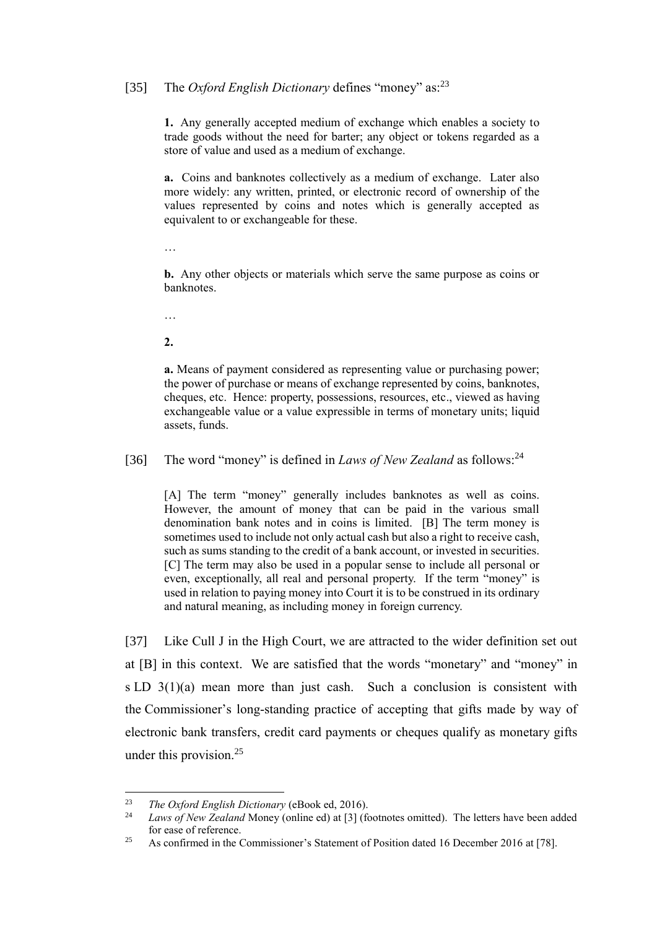# [35] The *Oxford English Dictionary* defines "money" as:<sup>23</sup>

**1.** Any generally accepted medium of exchange which enables a society to trade goods without the need for barter; any object or tokens regarded as a store of value and used as a medium of exchange.

**a.** Coins and banknotes collectively as a medium of exchange. Later also more widely: any written, printed, or electronic record of ownership of the values represented by coins and notes which is generally accepted as equivalent to or exchangeable for these.

…

**b.** Any other objects or materials which serve the same purpose as coins or banknotes.

…

**2.**

**a.** Means of payment considered as representing value or purchasing power; the power of purchase or means of exchange represented by coins, banknotes, cheques, etc. Hence: property, possessions, resources, etc., viewed as having exchangeable value or a value expressible in terms of monetary units; liquid assets, funds.

[36] The word "money" is defined in *Laws of New Zealand* as follows:<sup>24</sup>

[A] The term "money" generally includes banknotes as well as coins. However, the amount of money that can be paid in the various small denomination bank notes and in coins is limited. [B] The term money is sometimes used to include not only actual cash but also a right to receive cash, such as sums standing to the credit of a bank account, or invested in securities. [C] The term may also be used in a popular sense to include all personal or even, exceptionally, all real and personal property. If the term "money" is used in relation to paying money into Court it is to be construed in its ordinary and natural meaning, as including money in foreign currency.

[37] Like Cull J in the High Court, we are attracted to the wider definition set out at [B] in this context. We are satisfied that the words "monetary" and "money" in s LD 3(1)(a) mean more than just cash. Such a conclusion is consistent with the Commissioner's long-standing practice of accepting that gifts made by way of electronic bank transfers, credit card payments or cheques qualify as monetary gifts under this provision.<sup>25</sup>

<sup>23</sup> *The Oxford English Dictionary* (eBook ed, 2016).

Laws of New Zealand Money (online ed) at [3] (footnotes omitted). The letters have been added for ease of reference.

<sup>&</sup>lt;sup>25</sup> As confirmed in the Commissioner's Statement of Position dated 16 December 2016 at [78].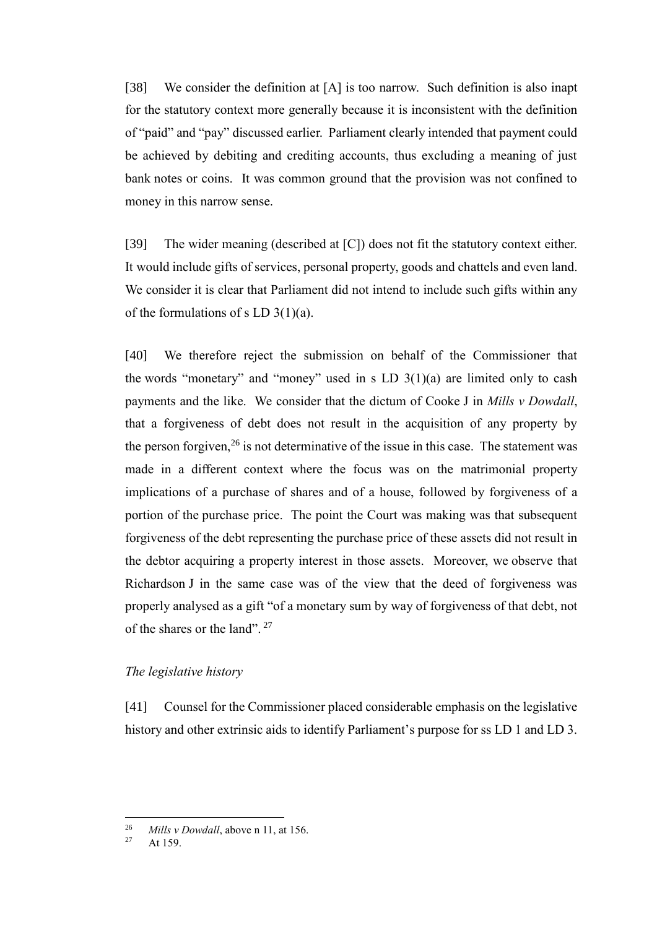[38] We consider the definition at [A] is too narrow. Such definition is also inapt for the statutory context more generally because it is inconsistent with the definition of "paid" and "pay" discussed earlier. Parliament clearly intended that payment could be achieved by debiting and crediting accounts, thus excluding a meaning of just bank notes or coins. It was common ground that the provision was not confined to money in this narrow sense.

[39] The wider meaning (described at [C]) does not fit the statutory context either. It would include gifts of services, personal property, goods and chattels and even land. We consider it is clear that Parliament did not intend to include such gifts within any of the formulations of s LD  $3(1)(a)$ .

[40] We therefore reject the submission on behalf of the Commissioner that the words "monetary" and "money" used in s LD  $3(1)(a)$  are limited only to cash payments and the like. We consider that the dictum of Cooke J in *Mills v Dowdall*, that a forgiveness of debt does not result in the acquisition of any property by the person forgiven,  $26$  is not determinative of the issue in this case. The statement was made in a different context where the focus was on the matrimonial property implications of a purchase of shares and of a house, followed by forgiveness of a portion of the purchase price. The point the Court was making was that subsequent forgiveness of the debt representing the purchase price of these assets did not result in the debtor acquiring a property interest in those assets. Moreover, we observe that Richardson J in the same case was of the view that the deed of forgiveness was properly analysed as a gift "of a monetary sum by way of forgiveness of that debt, not of the shares or the land".<sup>27</sup>

## *The legislative history*

[41] Counsel for the Commissioner placed considerable emphasis on the legislative history and other extrinsic aids to identify Parliament's purpose for ss LD 1 and LD 3.

 $26$ <sup>26</sup> *Mills v Dowdall*, above n 11, at 156.<br><sup>27</sup>  $\sqrt{150}$ 

At 159.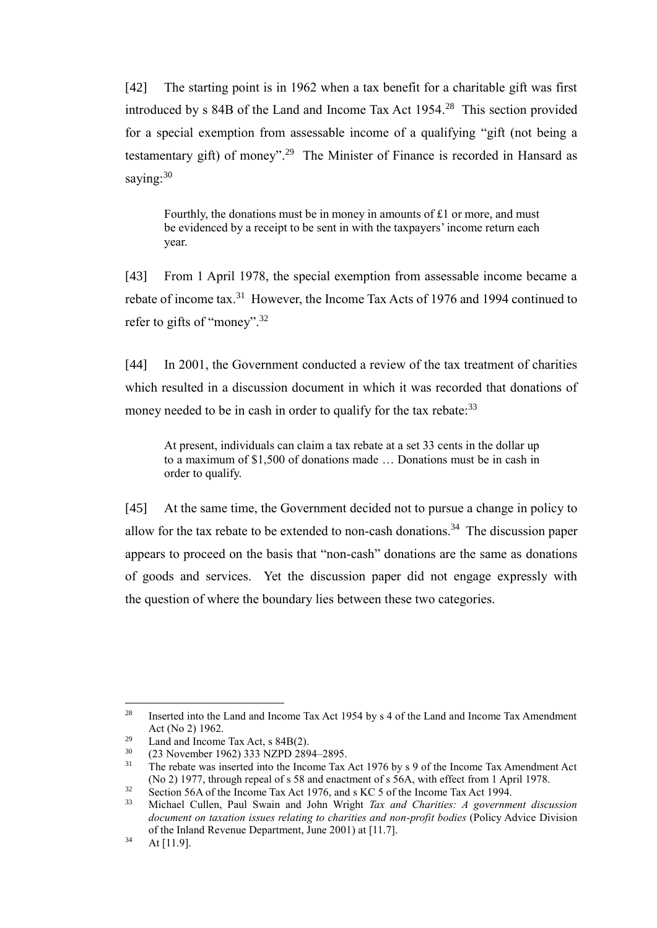[42] The starting point is in 1962 when a tax benefit for a charitable gift was first introduced by s 84B of the Land and Income Tax Act 1954. <sup>28</sup> This section provided for a special exemption from assessable income of a qualifying "gift (not being a testamentary gift) of money".<sup>29</sup> The Minister of Finance is recorded in Hansard as saving: 30

Fourthly, the donations must be in money in amounts of £1 or more, and must be evidenced by a receipt to be sent in with the taxpayers' income return each year.

[43] From 1 April 1978, the special exemption from assessable income became a rebate of income tax.<sup>31</sup> However, the Income Tax Acts of 1976 and 1994 continued to refer to gifts of "money".<sup>32</sup>

[44] In 2001, the Government conducted a review of the tax treatment of charities which resulted in a discussion document in which it was recorded that donations of money needed to be in cash in order to qualify for the tax rebate:<sup>33</sup>

At present, individuals can claim a tax rebate at a set 33 cents in the dollar up to a maximum of \$1,500 of donations made … Donations must be in cash in order to qualify.

[45] At the same time, the Government decided not to pursue a change in policy to allow for the tax rebate to be extended to non-cash donations.<sup>34</sup> The discussion paper appears to proceed on the basis that "non-cash" donations are the same as donations of goods and services. Yet the discussion paper did not engage expressly with the question of where the boundary lies between these two categories.

<sup>&</sup>lt;sup>28</sup> Inserted into the Land and Income Tax Act 1954 by s 4 of the Land and Income Tax Amendment Act (No 2) 1962.

<sup>&</sup>lt;sup>29</sup> Land and Income Tax Act, s  $84B(2)$ .<br><sup>30</sup> (23 November 1962) 233 NZPD 280

 $^{30}$  (23 November 1962) 333 NZPD 2894–2895.<br><sup>31</sup> The rebate was inserted into the Income Tax

<sup>31</sup> The rebate was inserted into the Income Tax Act 1976 by s 9 of the Income Tax Amendment Act (No 2) 1977, through repeal of s 58 and enactment of s 56A, with effect from 1 April 1978.

<sup>&</sup>lt;sup>32</sup> Section 56A of the Income Tax Act 1976, and s KC 5 of the Income Tax Act 1994.<br><sup>33</sup> Michael Cullen, Paul Swain and John Wright *Tax and Charities: A governm* 

<sup>33</sup> Michael Cullen, Paul Swain and John Wright *Tax and Charities: A government discussion document on taxation issues relating to charities and non-profit bodies* (Policy Advice Division of the Inland Revenue Department, June 2001) at [11.7].

 $34$  At [11.9].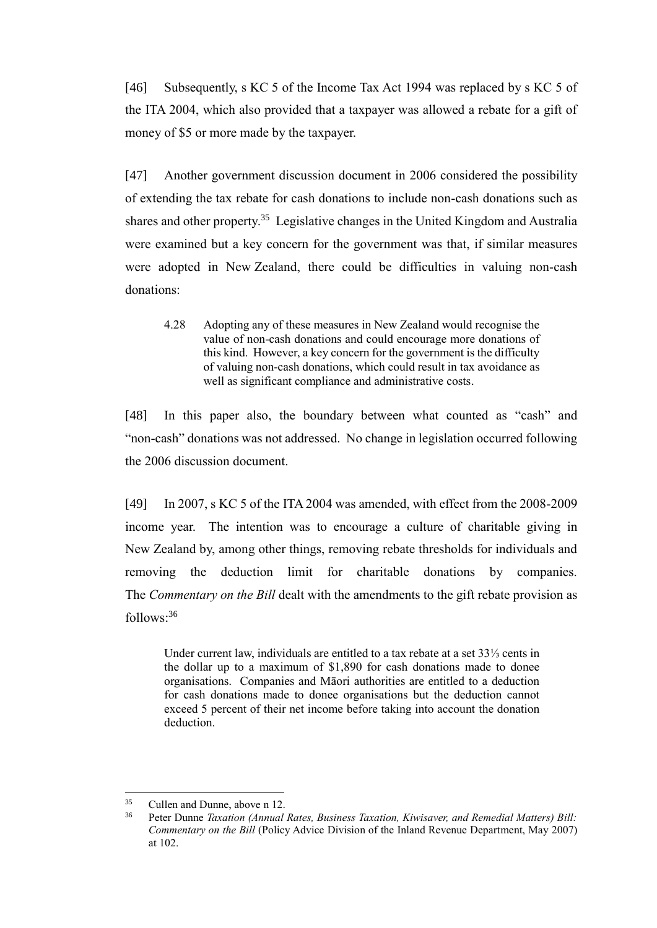[46] Subsequently, s KC 5 of the Income Tax Act 1994 was replaced by s KC 5 of the ITA 2004, which also provided that a taxpayer was allowed a rebate for a gift of money of \$5 or more made by the taxpayer.

[47] Another government discussion document in 2006 considered the possibility of extending the tax rebate for cash donations to include non-cash donations such as shares and other property.<sup>35</sup> Legislative changes in the United Kingdom and Australia were examined but a key concern for the government was that, if similar measures were adopted in New Zealand, there could be difficulties in valuing non-cash donations:

4.28 Adopting any of these measures in New Zealand would recognise the value of non-cash donations and could encourage more donations of this kind. However, a key concern for the government is the difficulty of valuing non-cash donations, which could result in tax avoidance as well as significant compliance and administrative costs.

[48] In this paper also, the boundary between what counted as "cash" and "non-cash" donations was not addressed. No change in legislation occurred following the 2006 discussion document.

[49] In 2007, s KC 5 of the ITA 2004 was amended, with effect from the 2008-2009 income year. The intention was to encourage a culture of charitable giving in New Zealand by, among other things, removing rebate thresholds for individuals and removing the deduction limit for charitable donations by companies. The *Commentary on the Bill* dealt with the amendments to the gift rebate provision as follows: 36

Under current law, individuals are entitled to a tax rebate at a set 33⅓ cents in the dollar up to a maximum of \$1,890 for cash donations made to donee organisations. Companies and Māori authorities are entitled to a deduction for cash donations made to donee organisations but the deduction cannot exceed 5 percent of their net income before taking into account the donation deduction.

<sup>35</sup> Cullen and Dunne, above n 12.

<sup>36</sup> Peter Dunne *Taxation (Annual Rates, Business Taxation, Kiwisaver, and Remedial Matters) Bill: Commentary on the Bill* (Policy Advice Division of the Inland Revenue Department, May 2007) at 102.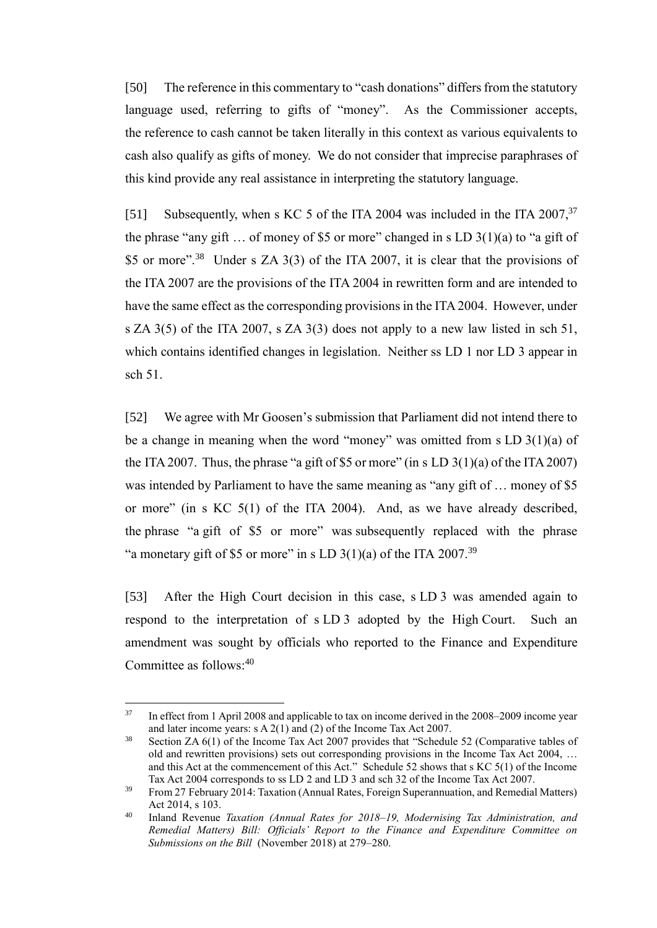[50] The reference in this commentary to "cash donations" differs from the statutory language used, referring to gifts of "money". As the Commissioner accepts, the reference to cash cannot be taken literally in this context as various equivalents to cash also qualify as gifts of money. We do not consider that imprecise paraphrases of this kind provide any real assistance in interpreting the statutory language.

[51] Subsequently, when s KC 5 of the ITA 2004 was included in the ITA  $2007^{37}$ the phrase "any gift ... of money of \$5 or more" changed in s LD  $3(1)(a)$  to "a gift of \$5 or more".<sup>38</sup> Under s ZA 3(3) of the ITA 2007, it is clear that the provisions of the ITA 2007 are the provisions of the ITA 2004 in rewritten form and are intended to have the same effect as the corresponding provisions in the ITA 2004. However, under s ZA 3(5) of the ITA 2007, s ZA 3(3) does not apply to a new law listed in sch 51, which contains identified changes in legislation. Neither ss LD 1 nor LD 3 appear in sch 51.

[52] We agree with Mr Goosen's submission that Parliament did not intend there to be a change in meaning when the word "money" was omitted from s LD 3(1)(a) of the ITA 2007. Thus, the phrase "a gift of \$5 or more" (in s LD  $3(1)(a)$  of the ITA 2007) was intended by Parliament to have the same meaning as "any gift of ... money of \$5 or more" (in s KC 5(1) of the ITA 2004). And, as we have already described, the phrase "a gift of \$5 or more" was subsequently replaced with the phrase "a monetary gift of \$5 or more" in s LD  $3(1)(a)$  of the ITA 2007.<sup>39</sup>

<span id="page-14-0"></span>[53] After the High Court decision in this case, s LD 3 was amended again to respond to the interpretation of s LD 3 adopted by the High Court. Such an amendment was sought by officials who reported to the Finance and Expenditure Committee as follows: $40$ 

<sup>&</sup>lt;sup>37</sup> In effect from 1 April 2008 and applicable to tax on income derived in the 2008–2009 income year and later income years: s A 2(1) and (2) of the Income Tax Act 2007.

<sup>&</sup>lt;sup>38</sup> Section ZA 6(1) of the Income Tax Act 2007 provides that "Schedule 52 (Comparative tables of old and rewritten provisions) sets out corresponding provisions in the Income Tax Act 2004, … and this Act at the commencement of this Act." Schedule 52 shows that s KC 5(1) of the Income Tax Act 2004 corresponds to ss LD 2 and LD 3 and sch 32 of the Income Tax Act 2007.

 $39$  From 27 February 2014: Taxation (Annual Rates, Foreign Superannuation, and Remedial Matters) Act 2014, s 103.

<sup>40</sup> Inland Revenue *Taxation (Annual Rates for 2018–19, Modernising Tax Administration, and Remedial Matters) Bill: Officials' Report to the Finance and Expenditure Committee on Submissions on the Bill* (November 2018) at 279–280.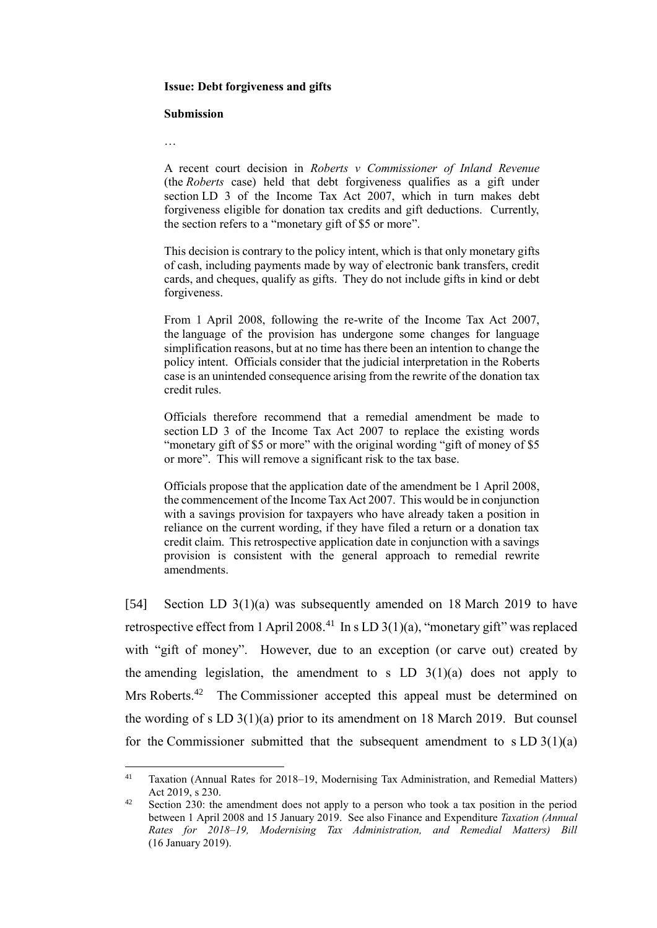#### **Issue: Debt forgiveness and gifts**

#### **Submission**

…

A recent court decision in *Roberts v Commissioner of Inland Revenue* (the *Roberts* case) held that debt forgiveness qualifies as a gift under section LD 3 of the Income Tax Act 2007, which in turn makes debt forgiveness eligible for donation tax credits and gift deductions. Currently, the section refers to a "monetary gift of \$5 or more".

This decision is contrary to the policy intent, which is that only monetary gifts of cash, including payments made by way of electronic bank transfers, credit cards, and cheques, qualify as gifts. They do not include gifts in kind or debt forgiveness.

From 1 April 2008, following the re-write of the Income Tax Act 2007, the language of the provision has undergone some changes for language simplification reasons, but at no time has there been an intention to change the policy intent. Officials consider that the judicial interpretation in the Roberts case is an unintended consequence arising from the rewrite of the donation tax credit rules.

Officials therefore recommend that a remedial amendment be made to section LD 3 of the Income Tax Act 2007 to replace the existing words "monetary gift of \$5 or more" with the original wording "gift of money of \$5 or more". This will remove a significant risk to the tax base.

Officials propose that the application date of the amendment be 1 April 2008, the commencement of the Income Tax Act 2007. This would be in conjunction with a savings provision for taxpayers who have already taken a position in reliance on the current wording, if they have filed a return or a donation tax credit claim. This retrospective application date in conjunction with a savings provision is consistent with the general approach to remedial rewrite amendments.

[54] Section LD 3(1)(a) was subsequently amended on 18 March 2019 to have retrospective effect from 1 April 2008.<sup>41</sup> In s LD 3(1)(a), "monetary gift" was replaced with "gift of money". However, due to an exception (or carve out) created by the amending legislation, the amendment to s LD  $3(1)(a)$  does not apply to Mrs Roberts.<sup>42</sup> The Commissioner accepted this appeal must be determined on the wording of s LD 3(1)(a) prior to its amendment on 18 March 2019. But counsel for the Commissioner submitted that the subsequent amendment to  $s LD 3(1)(a)$ 

 $41$ Taxation (Annual Rates for 2018–19, Modernising Tax Administration, and Remedial Matters) Act 2019, s 230.

<sup>&</sup>lt;sup>42</sup> Section 230: the amendment does not apply to a person who took a tax position in the period between 1 April 2008 and 15 January 2019. See also Finance and Expenditure *Taxation (Annual Rates for 2018–19, Modernising Tax Administration, and Remedial Matters) Bill* (16 January 2019).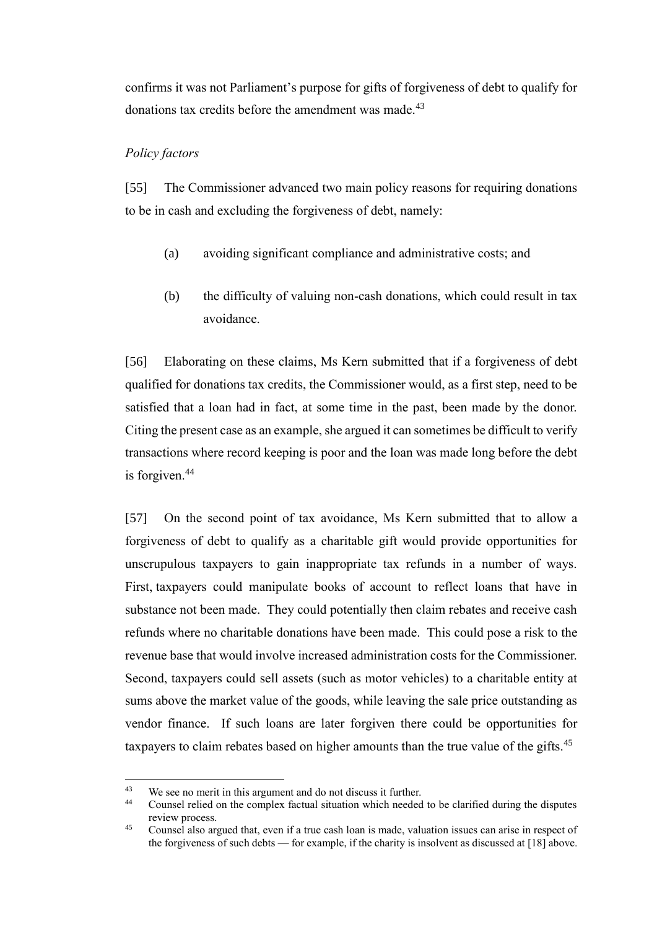confirms it was not Parliament's purpose for gifts of forgiveness of debt to qualify for donations tax credits before the amendment was made.<sup>43</sup>

### *Policy factors*

[55] The Commissioner advanced two main policy reasons for requiring donations to be in cash and excluding the forgiveness of debt, namely:

- (a) avoiding significant compliance and administrative costs; and
- (b) the difficulty of valuing non-cash donations, which could result in tax avoidance.

[56] Elaborating on these claims, Ms Kern submitted that if a forgiveness of debt qualified for donations tax credits, the Commissioner would, as a first step, need to be satisfied that a loan had in fact, at some time in the past, been made by the donor. Citing the present case as an example, she argued it can sometimes be difficult to verify transactions where record keeping is poor and the loan was made long before the debt is forgiven.<sup>44</sup>

[57] On the second point of tax avoidance, Ms Kern submitted that to allow a forgiveness of debt to qualify as a charitable gift would provide opportunities for unscrupulous taxpayers to gain inappropriate tax refunds in a number of ways. First, taxpayers could manipulate books of account to reflect loans that have in substance not been made. They could potentially then claim rebates and receive cash refunds where no charitable donations have been made. This could pose a risk to the revenue base that would involve increased administration costs for the Commissioner. Second, taxpayers could sell assets (such as motor vehicles) to a charitable entity at sums above the market value of the goods, while leaving the sale price outstanding as vendor finance. If such loans are later forgiven there could be opportunities for taxpayers to claim rebates based on higher amounts than the true value of the gifts.<sup>45</sup>

 $43$ <sup>43</sup> We see no merit in this argument and do not discuss it further.<br><sup>44</sup> Counsel relied on the complex feetual city ting which peeded

<sup>44</sup> Counsel relied on the complex factual situation which needed to be clarified during the disputes review process.

<sup>45</sup> Counsel also argued that, even if a true cash loan is made, valuation issues can arise in respect of the forgiveness of such debts — for example, if the charity is insolvent as discussed at [\[18\]](#page-5-0) above.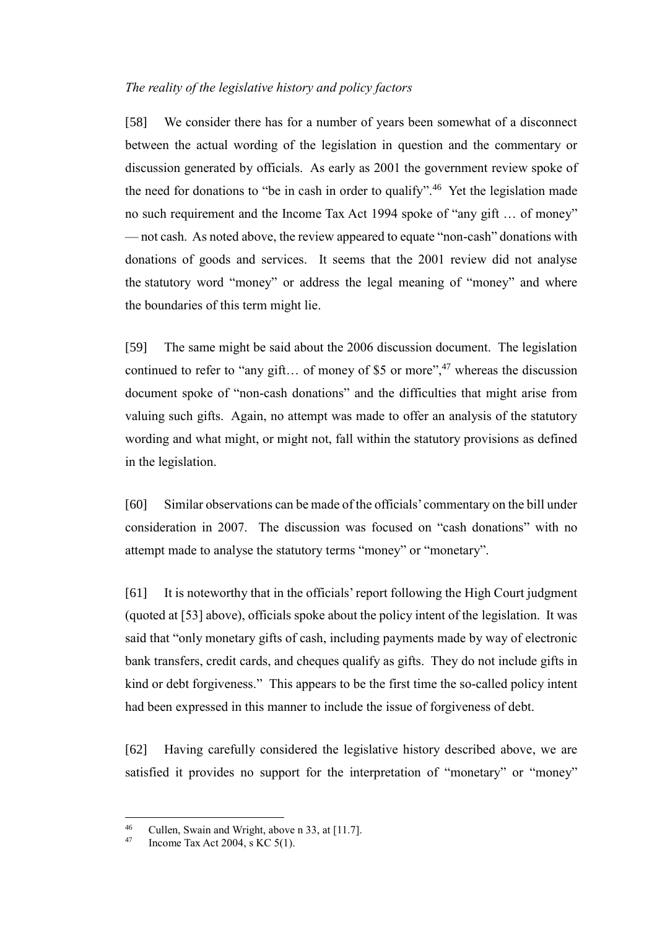### *The reality of the legislative history and policy factors*

[58] We consider there has for a number of years been somewhat of a disconnect between the actual wording of the legislation in question and the commentary or discussion generated by officials. As early as 2001 the government review spoke of the need for donations to "be in cash in order to qualify".<sup>46</sup> Yet the legislation made no such requirement and the Income Tax Act 1994 spoke of "any gift … of money" — not cash. As noted above, the review appeared to equate "non-cash" donations with donations of goods and services. It seems that the 2001 review did not analyse the statutory word "money" or address the legal meaning of "money" and where the boundaries of this term might lie.

[59] The same might be said about the 2006 discussion document. The legislation continued to refer to "any gift... of money of \$5 or more",  $47$  whereas the discussion document spoke of "non-cash donations" and the difficulties that might arise from valuing such gifts. Again, no attempt was made to offer an analysis of the statutory wording and what might, or might not, fall within the statutory provisions as defined in the legislation.

[60] Similar observations can be made of the officials' commentary on the bill under consideration in 2007. The discussion was focused on "cash donations" with no attempt made to analyse the statutory terms "money" or "monetary".

[61] It is noteworthy that in the officials'report following the High Court judgment (quoted at [\[53\]](#page-14-0) above), officials spoke about the policy intent of the legislation. It was said that "only monetary gifts of cash, including payments made by way of electronic bank transfers, credit cards, and cheques qualify as gifts. They do not include gifts in kind or debt forgiveness." This appears to be the first time the so-called policy intent had been expressed in this manner to include the issue of forgiveness of debt.

[62] Having carefully considered the legislative history described above, we are satisfied it provides no support for the interpretation of "monetary" or "money"

 $46$ <sup>46</sup> Cullen, Swain and Wright, above n 33, at [11.7].

Income Tax Act 2004, s KC  $5(1)$ .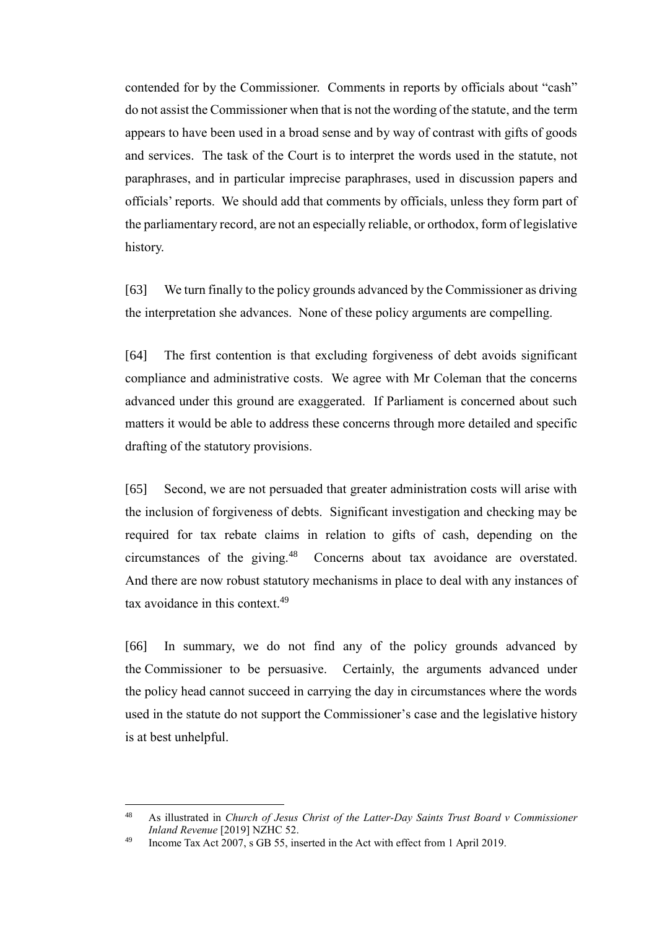contended for by the Commissioner. Comments in reports by officials about "cash" do not assist the Commissioner when that is not the wording of the statute, and the term appears to have been used in a broad sense and by way of contrast with gifts of goods and services. The task of the Court is to interpret the words used in the statute, not paraphrases, and in particular imprecise paraphrases, used in discussion papers and officials' reports. We should add that comments by officials, unless they form part of the parliamentary record, are not an especially reliable, or orthodox, form of legislative history.

[63] We turn finally to the policy grounds advanced by the Commissioner as driving the interpretation she advances. None of these policy arguments are compelling.

[64] The first contention is that excluding forgiveness of debt avoids significant compliance and administrative costs. We agree with Mr Coleman that the concerns advanced under this ground are exaggerated. If Parliament is concerned about such matters it would be able to address these concerns through more detailed and specific drafting of the statutory provisions.

[65] Second, we are not persuaded that greater administration costs will arise with the inclusion of forgiveness of debts. Significant investigation and checking may be required for tax rebate claims in relation to gifts of cash, depending on the circumstances of the giving.<sup>48</sup> Concerns about tax avoidance are overstated. And there are now robust statutory mechanisms in place to deal with any instances of tax avoidance in this context.<sup>49</sup>

[66] In summary, we do not find any of the policy grounds advanced by the Commissioner to be persuasive. Certainly, the arguments advanced under the policy head cannot succeed in carrying the day in circumstances where the words used in the statute do not support the Commissioner's case and the legislative history is at best unhelpful.

<sup>48</sup> As illustrated in *Church of Jesus Christ of the Latter-Day Saints Trust Board v Commissioner Inland Revenue* [2019] NZHC 52.

<sup>&</sup>lt;sup>49</sup> Income Tax Act  $2007$ , s GB 55, inserted in the Act with effect from 1 April 2019.